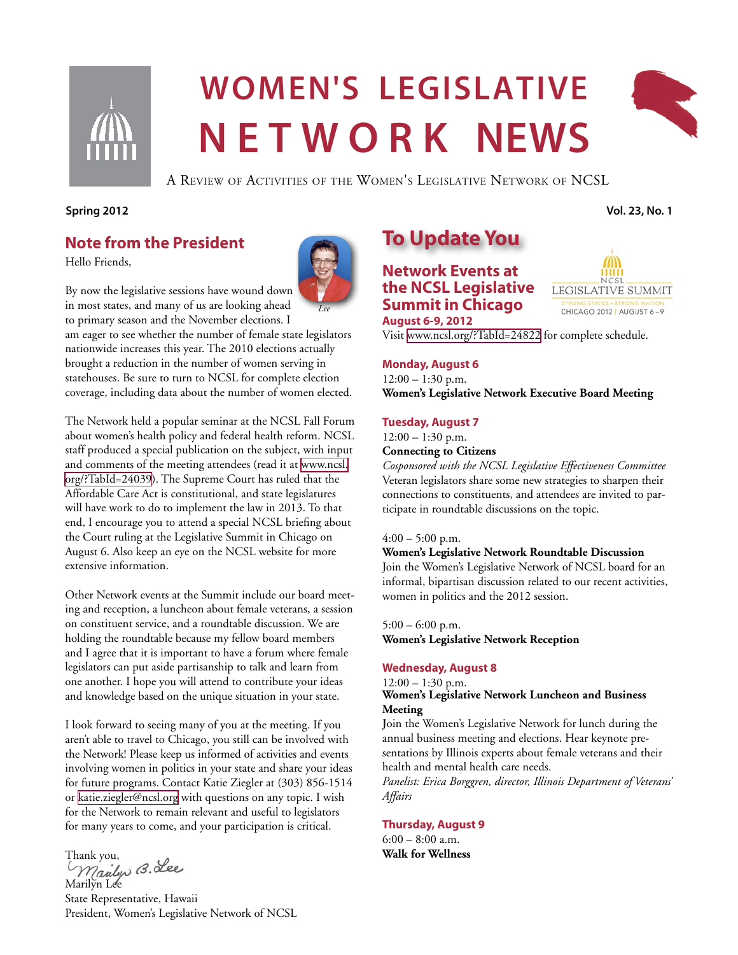

# **Women's legislative Net w ork news**



A Review of Activities of the Women's Legislative Network of NCSL

#### **Spring 2012 Vol. 23, No. 1**

## **Note from the President**

Hello Friends,



By now the legislative sessions have wound down in most states, and many of us are looking ahead

to primary season and the November elections. I am eager to see whether the number of female state legislators nationwide increases this year. The 2010 elections actually brought a reduction in the number of women serving in statehouses. Be sure to turn to NCSL for complete election coverage, including data about the number of women elected.

The Network held a popular seminar at the NCSL Fall Forum about women's health policy and federal health reform. NCSL staff produced a special publication on the subject, with input and comments of the meeting attendees (read it at [www.ncsl.](http://www.ncsl.org/?TabId=24039) [org/?TabId=24039\)](http://www.ncsl.org/?TabId=24039). The Supreme Court has ruled that the Affordable Care Act is constitutional, and state legislatures will have work to do to implement the law in 2013. To that end, I encourage you to attend a special NCSL briefing about the Court ruling at the Legislative Summit in Chicago on August 6. Also keep an eye on the NCSL website for more extensive information.

Other Network events at the Summit include our board meeting and reception, a luncheon about female veterans, a session on constituent service, and a roundtable discussion. We are holding the roundtable because my fellow board members and I agree that it is important to have a forum where female legislators can put aside partisanship to talk and learn from one another. I hope you will attend to contribute your ideas and knowledge based on the unique situation in your state.

I look forward to seeing many of you at the meeting. If you aren't able to travel to Chicago, you still can be involved with the Network! Please keep us informed of activities and events involving women in politics in your state and share your ideas for future programs. Contact Katie Ziegler at (303) 856-1514 or [katie.ziegler@ncsl.org](mailto:katie.ziegler@ncsl.org) with questions on any topic. I wish for the Network to remain relevant and useful to legislators for many years to come, and your participation is critical.

Thank you,<br>Maulys B. Lee Marilyn Lee

State Representative, Hawaii President, Women's Legislative Network of NCSL

# **To Update You**

**Network Events at the NCSL Legislative Summit in Chicago August 6-9, 2012**



Visit <www.ncsl.org/?TabId=24822>for complete schedule.

#### **Monday, August 6**

 $12:00 - 1:30$  p.m. **Women's Legislative Network Executive Board Meeting**

#### **Tuesday, August 7**

 $12:00 - 1:30$  p.m.

## **Connecting to Citizens**

*Cosponsored with the NCSL Legislative Effectiveness Committee* Veteran legislators share some new strategies to sharpen their connections to constituents, and attendees are invited to participate in roundtable discussions on the topic.

#### $4:00 - 5:00$  p.m.

#### **Women's Legislative Network Roundtable Discussion**

Join the Women's Legislative Network of NCSL board for an informal, bipartisan discussion related to our recent activities, women in politics and the 2012 session.

 $5:00 - 6:00$  p.m. **Women's Legislative Network Reception**

#### **Wednesday, August 8**

 $12:00 - 1:30$  p.m.

#### **Women's Legislative Network Luncheon and Business Meeting**

**J**oin the Women's Legislative Network for lunch during the annual business meeting and elections. Hear keynote presentations by Illinois experts about female veterans and their health and mental health care needs.

*Panelist: Erica Borggren, director, Illinois Department of Veterans' Affairs*

#### **Thursday, August 9**

 $6:00 - 8:00$  a.m. **Walk for Wellness**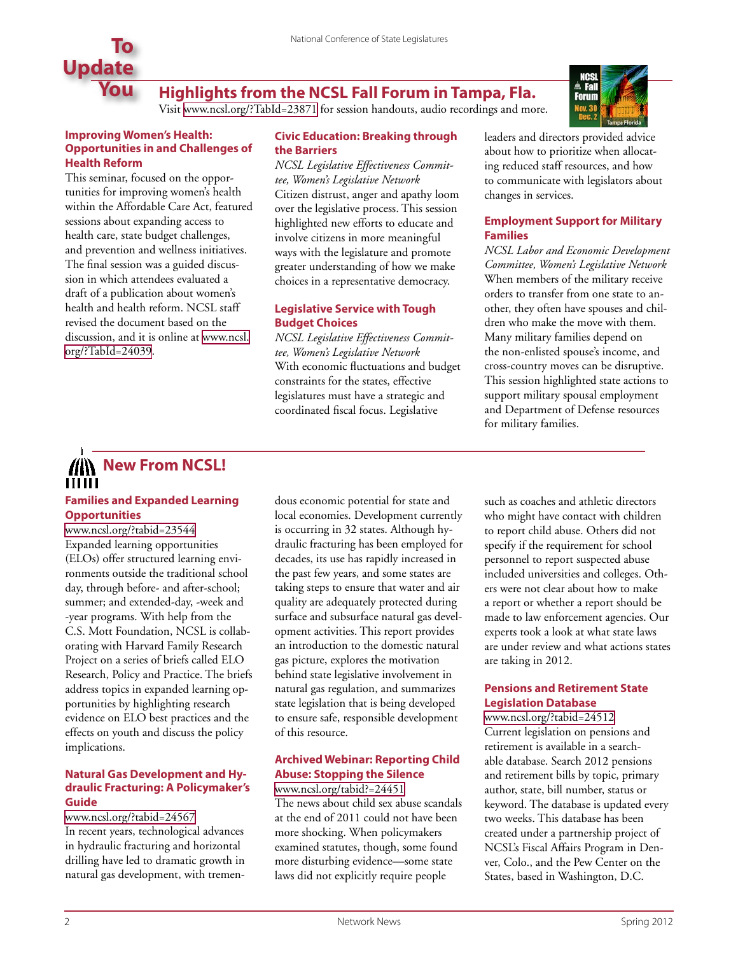

## **Highlights from the NCSL Fall Forum in Tampa, Fla.**

Visit [www.ncsl.org/?TabId=23871](http://www.ncsl.org/?TabId=23871) for session handouts, audio recordings and more.

#### **Improving Women's Health: Opportunities in and Challenges of Health Reform**

This seminar, focused on the opportunities for improving women's health within the Affordable Care Act, featured sessions about expanding access to health care, state budget challenges, and prevention and wellness initiatives. The final session was a guided discussion in which attendees evaluated a draft of a publication about women's health and health reform. NCSL staff revised the document based on the discussion, and it is online at [www.ncsl.](http://www.ncsl.org/?TabId=24039) [org/?TabId=24039.](http://www.ncsl.org/?TabId=24039)

#### **Civic Education: Breaking through the Barriers**

*NCSL Legislative Effectiveness Committee, Women's Legislative Network* Citizen distrust, anger and apathy loom over the legislative process. This session highlighted new efforts to educate and involve citizens in more meaningful ways with the legislature and promote greater understanding of how we make choices in a representative democracy.

#### **Legislative Service with Tough Budget Choices**

*NCSL Legislative Effectiveness Committee, Women's Legislative Network* With economic fluctuations and budget constraints for the states, effective legislatures must have a strategic and coordinated fiscal focus. Legislative

leaders and directors provided advice about how to prioritize when allocating reduced staff resources, and how to communicate with legislators about changes in services.

#### **Employment Support for Military Families**

*NCSL Labor and Economic Development Committee, Women's Legislative Network* When members of the military receive orders to transfer from one state to another, they often have spouses and children who make the move with them. Many military families depend on the non-enlisted spouse's income, and cross-country moves can be disruptive. This session highlighted state actions to support military spousal employment and Department of Defense resources for military families.

# **New From NCSL!**

# **Families and Expanded Learning Opportunities**

<www.ncsl.org/?tabid=23544> Expanded learning opportunities (ELOs) offer structured learning environments outside the traditional school day, through before- and after-school; summer; and extended-day, -week and -year programs. With help from the C.S. Mott Foundation, NCSL is collaborating with Harvard Family Research Project on a series of briefs called ELO Research, Policy and Practice. The briefs address topics in expanded learning opportunities by highlighting research evidence on ELO best practices and the effects on youth and discuss the policy implications.

#### **Natural Gas Development and Hydraulic Fracturing: A Policymaker's Guide**

<www.ncsl.org/?tabid=24567> In recent years, technological advances in hydraulic fracturing and horizontal drilling have led to dramatic growth in natural gas development, with tremendous economic potential for state and local economies. Development currently is occurring in 32 states. Although hydraulic fracturing has been employed for decades, its use has rapidly increased in the past few years, and some states are taking steps to ensure that water and air quality are adequately protected during surface and subsurface natural gas development activities. This report provides an introduction to the domestic natural gas picture, explores the motivation behind state legislative involvement in natural gas regulation, and summarizes state legislation that is being developed to ensure safe, responsible development of this resource.

### **Archived Webinar: Reporting Child Abuse: Stopping the Silence**

<www.ncsl.org/tabid?=24451> The news about child sex abuse scandals at the end of 2011 could not have been more shocking. When policymakers examined statutes, though, some found more disturbing evidence—some state laws did not explicitly require people

such as coaches and athletic directors who might have contact with children to report child abuse. Others did not specify if the requirement for school personnel to report suspected abuse included universities and colleges. Others were not clear about how to make a report or whether a report should be made to law enforcement agencies. Our experts took a look at what state laws are under review and what actions states are taking in 2012.

#### **Pensions and Retirement State Legislation Database**

<www.ncsl.org/?tabid=24512> Current legislation on pensions and retirement is available in a searchable database. Search 2012 pensions and retirement bills by topic, primary author, state, bill number, status or keyword. The database is updated every two weeks. This database has been created under a partnership project of NCSL's Fiscal Affairs Program in Denver, Colo., and the Pew Center on the States, based in Washington, D.C.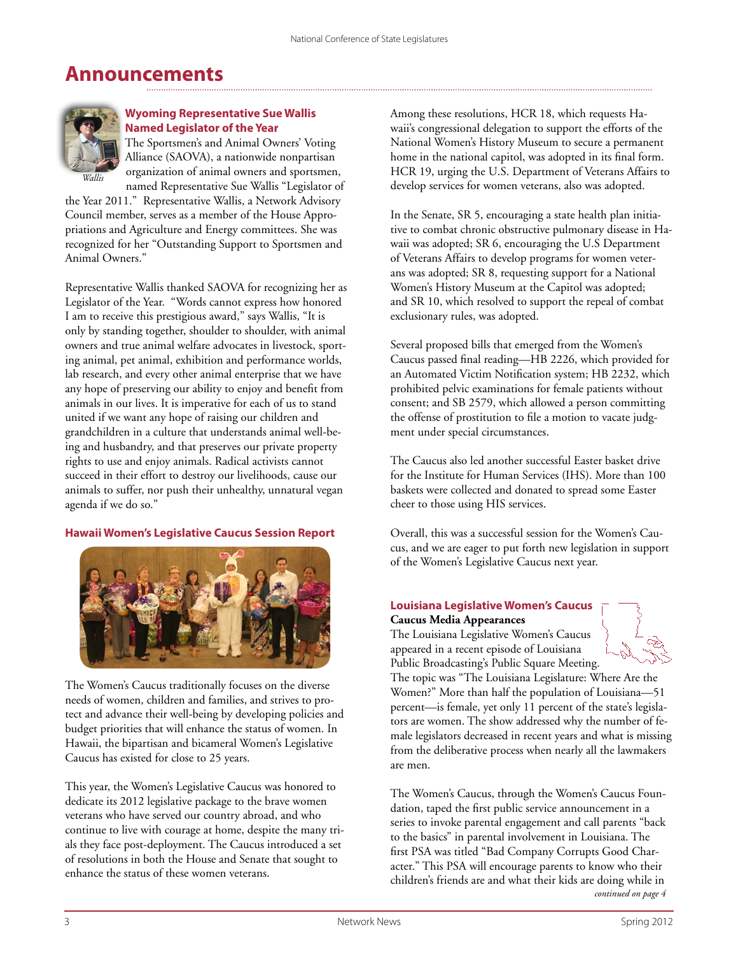# **Announcements**



#### **Wyoming Representative Sue Wallis Named Legislator of the Year**

The Sportsmen's and Animal Owners' Voting Alliance (SAOVA), a nationwide nonpartisan organization of animal owners and sportsmen, named Representative Sue Wallis "Legislator of

the Year 2011." Representative Wallis, a Network Advisory Council member, serves as a member of the House Appropriations and Agriculture and Energy committees. She was recognized for her "Outstanding Support to Sportsmen and Animal Owners."

Representative Wallis thanked SAOVA for recognizing her as Legislator of the Year. "Words cannot express how honored I am to receive this prestigious award," says Wallis, "It is only by standing together, shoulder to shoulder, with animal owners and true animal welfare advocates in livestock, sporting animal, pet animal, exhibition and performance worlds, lab research, and every other animal enterprise that we have any hope of preserving our ability to enjoy and benefit from animals in our lives. It is imperative for each of us to stand united if we want any hope of raising our children and grandchildren in a culture that understands animal well-being and husbandry, and that preserves our private property rights to use and enjoy animals. Radical activists cannot succeed in their effort to destroy our livelihoods, cause our animals to suffer, nor push their unhealthy, unnatural vegan agenda if we do so."

#### **Hawaii Women's Legislative Caucus Session Report**



The Women's Caucus traditionally focuses on the diverse needs of women, children and families, and strives to protect and advance their well-being by developing policies and budget priorities that will enhance the status of women. In Hawaii, the bipartisan and bicameral Women's Legislative Caucus has existed for close to 25 years.

This year, the Women's Legislative Caucus was honored to dedicate its 2012 legislative package to the brave women veterans who have served our country abroad, and who continue to live with courage at home, despite the many trials they face post-deployment. The Caucus introduced a set of resolutions in both the House and Senate that sought to enhance the status of these women veterans.

Among these resolutions, HCR 18, which requests Hawaii's congressional delegation to support the efforts of the National Women's History Museum to secure a permanent home in the national capitol, was adopted in its final form. HCR 19, urging the U.S. Department of Veterans Affairs to develop services for women veterans, also was adopted.

In the Senate, SR 5, encouraging a state health plan initiative to combat chronic obstructive pulmonary disease in Hawaii was adopted; SR 6, encouraging the U.S Department of Veterans Affairs to develop programs for women veterans was adopted; SR 8, requesting support for a National Women's History Museum at the Capitol was adopted; and SR 10, which resolved to support the repeal of combat exclusionary rules, was adopted.

Several proposed bills that emerged from the Women's Caucus passed final reading—HB 2226, which provided for an Automated Victim Notification system; HB 2232, which prohibited pelvic examinations for female patients without consent; and SB 2579, which allowed a person committing the offense of prostitution to file a motion to vacate judgment under special circumstances.

The Caucus also led another successful Easter basket drive for the Institute for Human Services (IHS). More than 100 baskets were collected and donated to spread some Easter cheer to those using HIS services.

Overall, this was a successful session for the Women's Caucus, and we are eager to put forth new legislation in support of the Women's Legislative Caucus next year.

#### **Louisiana Legislative Women's Caucus Caucus Media Appearances**

The Louisiana Legislative Women's Caucus appeared in a recent episode of Louisiana Public Broadcasting's Public Square Meeting.



The topic was "The Louisiana Legislature: Where Are the Women?" More than half the population of Louisiana—51 percent—is female, yet only 11 percent of the state's legislators are women. The show addressed why the number of female legislators decreased in recent years and what is missing from the deliberative process when nearly all the lawmakers are men.

The Women's Caucus, through the Women's Caucus Foundation, taped the first public service announcement in a series to invoke parental engagement and call parents "back to the basics" in parental involvement in Louisiana. The first PSA was titled "Bad Company Corrupts Good Character." This PSA will encourage parents to know who their children's friends are and what their kids are doing while in *continued on page 4*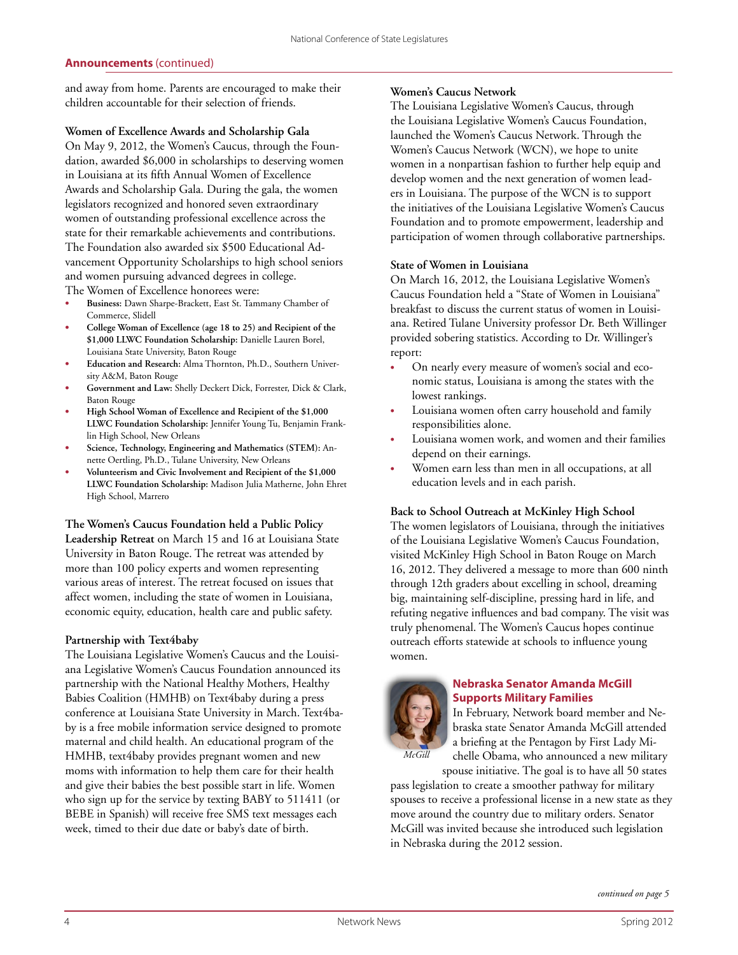#### **Announcements** (continued)

and away from home. Parents are encouraged to make their children accountable for their selection of friends.

#### **Women of Excellence Awards and Scholarship Gala**

On May 9, 2012, the Women's Caucus, through the Foundation, awarded \$6,000 in scholarships to deserving women in Louisiana at its fifth Annual Women of Excellence Awards and Scholarship Gala. During the gala, the women legislators recognized and honored seven extraordinary women of outstanding professional excellence across the state for their remarkable achievements and contributions. The Foundation also awarded six \$500 Educational Advancement Opportunity Scholarships to high school seniors and women pursuing advanced degrees in college.

The Women of Excellence honorees were:

- Business: Dawn Sharpe-Brackett, East St. Tammany Chamber of Commerce, Slidell
- **• College Woman of Excellence (age 18 to 25) and Recipient of the \$1,000 LLWC Foundation Scholarship:** Danielle Lauren Borel, Louisiana State University, Baton Rouge
- **Education and Research:** Alma Thornton, Ph.D., Southern University A&M, Baton Rouge
- Government and Law: Shelly Deckert Dick, Forrester, Dick & Clark, Baton Rouge
- **High School Woman of Excellence and Recipient of the \$1,000 LLWC Foundation Scholarship:** Jennifer Young Tu, Benjamin Franklin High School, New Orleans
- Science, Technology, Engineering and Mathematics (STEM): Annette Oertling, Ph.D., Tulane University, New Orleans
- Volunteerism and Civic Involvement and Recipient of the \$1,000 **LLWC Foundation Scholarship:** Madison Julia Matherne, John Ehret High School, Marrero

**The Women's Caucus Foundation held a Public Policy Leadership Retreat** on March 15 and 16 at Louisiana State University in Baton Rouge. The retreat was attended by more than 100 policy experts and women representing various areas of interest. The retreat focused on issues that affect women, including the state of women in Louisiana, economic equity, education, health care and public safety.

#### **Partnership with Text4baby**

The Louisiana Legislative Women's Caucus and the Louisiana Legislative Women's Caucus Foundation announced its partnership with the National Healthy Mothers, Healthy Babies Coalition (HMHB) on Text4baby during a press conference at Louisiana State University in March. Text4baby is a free mobile information service designed to promote maternal and child health. An educational program of the HMHB, text4baby provides pregnant women and new moms with information to help them care for their health and give their babies the best possible start in life. Women who sign up for the service by texting BABY to 511411 (or BEBE in Spanish) will receive free SMS text messages each week, timed to their due date or baby's date of birth.

#### **Women's Caucus Network**

The Louisiana Legislative Women's Caucus, through the Louisiana Legislative Women's Caucus Foundation, launched the Women's Caucus Network. Through the Women's Caucus Network (WCN), we hope to unite women in a nonpartisan fashion to further help equip and develop women and the next generation of women leaders in Louisiana. The purpose of the WCN is to support the initiatives of the Louisiana Legislative Women's Caucus Foundation and to promote empowerment, leadership and participation of women through collaborative partnerships.

#### **State of Women in Louisiana**

On March 16, 2012, the Louisiana Legislative Women's Caucus Foundation held a "State of Women in Louisiana" breakfast to discuss the current status of women in Louisiana. Retired Tulane University professor Dr. Beth Willinger provided sobering statistics. According to Dr. Willinger's report:

- On nearly every measure of women's social and economic status, Louisiana is among the states with the lowest rankings.
- Louisiana women often carry household and family responsibilities alone.
- Louisiana women work, and women and their families depend on their earnings.
- Women earn less than men in all occupations, at all education levels and in each parish.

#### **Back to School Outreach at McKinley High School**

The women legislators of Louisiana, through the initiatives of the Louisiana Legislative Women's Caucus Foundation, visited McKinley High School in Baton Rouge on March 16, 2012. They delivered a message to more than 600 ninth through 12th graders about excelling in school, dreaming big, maintaining self-discipline, pressing hard in life, and refuting negative influences and bad company. The visit was truly phenomenal. The Women's Caucus hopes continue outreach efforts statewide at schools to influence young women.



#### **Nebraska Senator Amanda McGill Supports Military Families**

In February, Network board member and Nebraska state Senator Amanda McGill attended a briefing at the Pentagon by First Lady Michelle Obama, who announced a new military

spouse initiative. The goal is to have all 50 states pass legislation to create a smoother pathway for military spouses to receive a professional license in a new state as they move around the country due to military orders. Senator McGill was invited because she introduced such legislation in Nebraska during the 2012 session.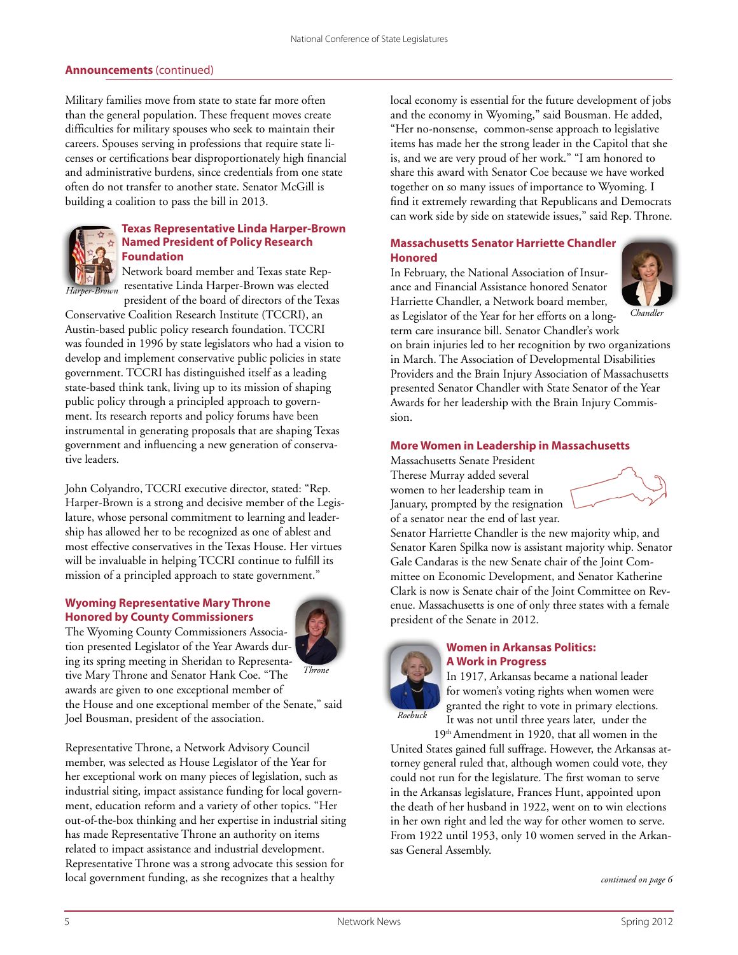#### **Announcements** (continued)

Military families move from state to state far more often than the general population. These frequent moves create difficulties for military spouses who seek to maintain their careers. Spouses serving in professions that require state licenses or certifications bear disproportionately high financial and administrative burdens, since credentials from one state often do not transfer to another state. Senator McGill is building a coalition to pass the bill in 2013.



#### **Texas Representative Linda Harper-Brown Named President of Policy Research Foundation**

Network board member and Texas state Representative Linda Harper-Brown was elected president of the board of directors of the Texas

Conservative Coalition Research Institute (TCCRI), an Austin-based public policy research foundation. TCCRI was founded in 1996 by state legislators who had a vision to develop and implement conservative public policies in state government. TCCRI has distinguished itself as a leading state-based think tank, living up to its mission of shaping public policy through a principled approach to government. Its research reports and policy forums have been instrumental in generating proposals that are shaping Texas government and influencing a new generation of conservative leaders.

John Colyandro, TCCRI executive director, stated: "Rep. Harper-Brown is a strong and decisive member of the Legislature, whose personal commitment to learning and leadership has allowed her to be recognized as one of ablest and most effective conservatives in the Texas House. Her virtues will be invaluable in helping TCCRI continue to fulfill its mission of a principled approach to state government."

#### **Wyoming Representative Mary Throne Honored by County Commissioners**

The Wyoming County Commissioners Association presented Legislator of the Year Awards during its spring meeting in Sheridan to Representative Mary Throne and Senator Hank Coe. "The awards are given to one exceptional member of the House and one exceptional member of the Senate," said Joel Bousman, president of the association. *Throne*



local economy is essential for the future development of jobs and the economy in Wyoming," said Bousman. He added, "Her no-nonsense, common-sense approach to legislative items has made her the strong leader in the Capitol that she is, and we are very proud of her work." "I am honored to share this award with Senator Coe because we have worked together on so many issues of importance to Wyoming. I find it extremely rewarding that Republicans and Democrats can work side by side on statewide issues," said Rep. Throne.

#### **Massachusetts Senator Harriette Chandler Honored**

In February, the National Association of Insurance and Financial Assistance honored Senator Harriette Chandler, a Network board member, as Legislator of the Year for her efforts on a long-



*Chandler*

term care insurance bill. Senator Chandler's work on brain injuries led to her recognition by two organizations in March. The Association of Developmental Disabilities Providers and the Brain Injury Association of Massachusetts presented Senator Chandler with State Senator of the Year Awards for her leadership with the Brain Injury Commission.

#### **More Women in Leadership in Massachusetts**

Massachusetts Senate President Therese Murray added several women to her leadership team in January, prompted by the resignation of a senator near the end of last year.



Senator Harriette Chandler is the new majority whip, and Senator Karen Spilka now is assistant majority whip. Senator Gale Candaras is the new Senate chair of the Joint Committee on Economic Development, and Senator Katherine Clark is now is Senate chair of the Joint Committee on Revenue. Massachusetts is one of only three states with a female president of the Senate in 2012.



#### **Women in Arkansas Politics: A Work in Progress**

In 1917, Arkansas became a national leader for women's voting rights when women were granted the right to vote in primary elections. It was not until three years later, under the

19th Amendment in 1920, that all women in the United States gained full suffrage. However, the Arkansas attorney general ruled that, although women could vote, they could not run for the legislature. The first woman to serve in the Arkansas legislature, Frances Hunt, appointed upon the death of her husband in 1922, went on to win elections in her own right and led the way for other women to serve. From 1922 until 1953, only 10 women served in the Arkansas General Assembly.

*continued on page 6*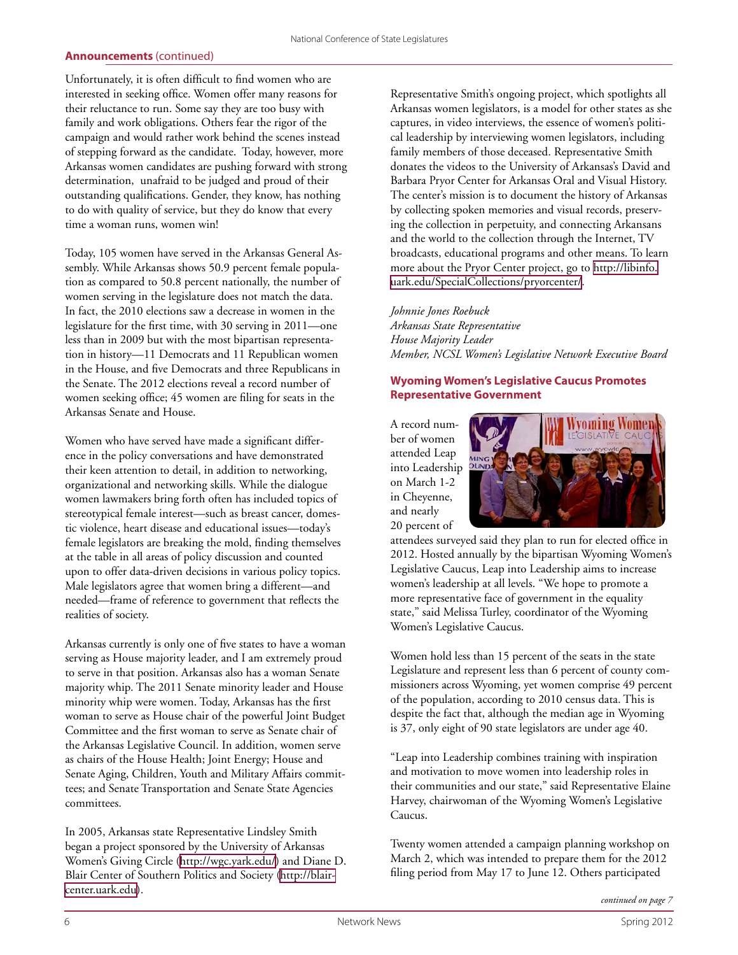#### **Announcements** (continued)

Unfortunately, it is often difficult to find women who are interested in seeking office. Women offer many reasons for their reluctance to run. Some say they are too busy with family and work obligations. Others fear the rigor of the campaign and would rather work behind the scenes instead of stepping forward as the candidate. Today, however, more Arkansas women candidates are pushing forward with strong determination, unafraid to be judged and proud of their outstanding qualifications. Gender, they know, has nothing to do with quality of service, but they do know that every time a woman runs, women win!

Today, 105 women have served in the Arkansas General Assembly. While Arkansas shows 50.9 percent female population as compared to 50.8 percent nationally, the number of women serving in the legislature does not match the data. In fact, the 2010 elections saw a decrease in women in the legislature for the first time, with 30 serving in 2011—one less than in 2009 but with the most bipartisan representation in history—11 Democrats and 11 Republican women in the House, and five Democrats and three Republicans in the Senate. The 2012 elections reveal a record number of women seeking office; 45 women are filing for seats in the Arkansas Senate and House.

Women who have served have made a significant difference in the policy conversations and have demonstrated their keen attention to detail, in addition to networking, organizational and networking skills. While the dialogue women lawmakers bring forth often has included topics of stereotypical female interest—such as breast cancer, domestic violence, heart disease and educational issues—today's female legislators are breaking the mold, finding themselves at the table in all areas of policy discussion and counted upon to offer data-driven decisions in various policy topics. Male legislators agree that women bring a different—and needed—frame of reference to government that reflects the realities of society.

Arkansas currently is only one of five states to have a woman serving as House majority leader, and I am extremely proud to serve in that position. Arkansas also has a woman Senate majority whip. The 2011 Senate minority leader and House minority whip were women. Today, Arkansas has the first woman to serve as House chair of the powerful Joint Budget Committee and the first woman to serve as Senate chair of the Arkansas Legislative Council. In addition, women serve as chairs of the House Health; Joint Energy; House and Senate Aging, Children, Youth and Military Affairs committees; and Senate Transportation and Senate State Agencies committees.

In 2005, Arkansas state Representative Lindsley Smith began a project sponsored by the University of Arkansas Women's Giving Circle [\(http://wgc.yark.edu/\)](http://wgc.yark.edu/) and Diane D. Blair Center of Southern Politics and Society ([http://blair](http://blaircenter.uark.edu)[center.uark.edu](http://blaircenter.uark.edu)).

Representative Smith's ongoing project, which spotlights all Arkansas women legislators, is a model for other states as she captures, in video interviews, the essence of women's political leadership by interviewing women legislators, including family members of those deceased. Representative Smith donates the videos to the University of Arkansas's David and Barbara Pryor Center for Arkansas Oral and Visual History. The center's mission is to document the history of Arkansas by collecting spoken memories and visual records, preserving the collection in perpetuity, and connecting Arkansans and the world to the collection through the Internet, TV broadcasts, educational programs and other means. To learn more about the Pryor Center project, go to [http://libinfo.](http://libinfo.uark.edu/SpecialCollections/pryorcenter/) [uark.edu/SpecialCollections/pryorcenter/.](http://libinfo.uark.edu/SpecialCollections/pryorcenter/)

#### *Johnnie Jones Roebuck*

*Arkansas State Representative House Majority Leader Member, NCSL Women's Legislative Network Executive Board*

#### **Wyoming Women's Legislative Caucus Promotes Representative Government**

A record number of women attended Leap into Leadership on March 1-2 in Cheyenne, and nearly 20 percent of



attendees surveyed said they plan to run for elected office in 2012. Hosted annually by the bipartisan Wyoming Women's Legislative Caucus, Leap into Leadership aims to increase women's leadership at all levels. "We hope to promote a more representative face of government in the equality state," said Melissa Turley, coordinator of the Wyoming Women's Legislative Caucus.

Women hold less than 15 percent of the seats in the state Legislature and represent less than 6 percent of county commissioners across Wyoming, yet women comprise 49 percent of the population, according to 2010 census data. This is despite the fact that, although the median age in Wyoming is 37, only eight of 90 state legislators are under age 40.

"Leap into Leadership combines training with inspiration and motivation to move women into leadership roles in their communities and our state," said Representative Elaine Harvey, chairwoman of the Wyoming Women's Legislative Caucus.

Twenty women attended a campaign planning workshop on March 2, which was intended to prepare them for the 2012 filing period from May 17 to June 12. Others participated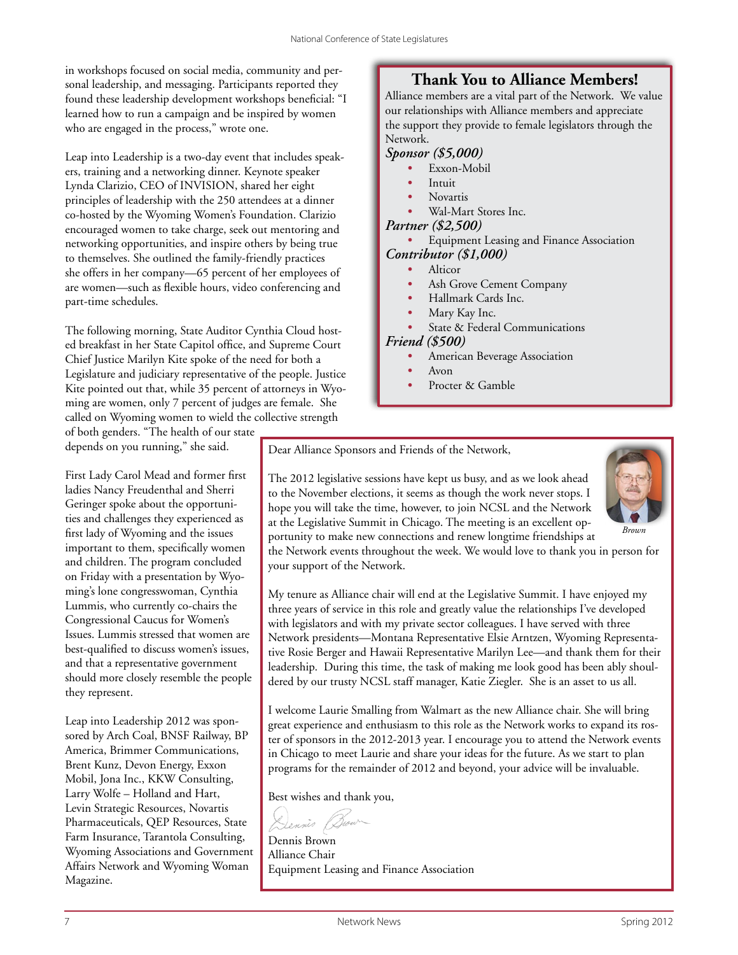in workshops focused on social media, community and personal leadership, and messaging. Participants reported they found these leadership development workshops beneficial: "I learned how to run a campaign and be inspired by women who are engaged in the process," wrote one.

Leap into Leadership is a two-day event that includes speakers, training and a networking dinner. Keynote speaker Lynda Clarizio, CEO of INVISION, shared her eight principles of leadership with the 250 attendees at a dinner co-hosted by the Wyoming Women's Foundation. Clarizio encouraged women to take charge, seek out mentoring and networking opportunities, and inspire others by being true to themselves. She outlined the family-friendly practices she offers in her company—65 percent of her employees of are women—such as flexible hours, video conferencing and part-time schedules.

The following morning, State Auditor Cynthia Cloud hosted breakfast in her State Capitol office, and Supreme Court Chief Justice Marilyn Kite spoke of the need for both a Legislature and judiciary representative of the people. Justice Kite pointed out that, while 35 percent of attorneys in Wyoming are women, only 7 percent of judges are female. She called on Wyoming women to wield the collective strength

#### of both genders. "The health of our state depends on you running," she said.

First Lady Carol Mead and former first ladies Nancy Freudenthal and Sherri Geringer spoke about the opportunities and challenges they experienced as first lady of Wyoming and the issues important to them, specifically women and children. The program concluded on Friday with a presentation by Wyoming's lone congresswoman, Cynthia Lummis, who currently co-chairs the Congressional Caucus for Women's Issues. Lummis stressed that women are best-qualified to discuss women's issues, and that a representative government should more closely resemble the people they represent.

Leap into Leadership 2012 was sponsored by Arch Coal, BNSF Railway, BP America, Brimmer Communications, Brent Kunz, Devon Energy, Exxon Mobil, Jona Inc., KKW Consulting, Larry Wolfe – Holland and Hart, Levin Strategic Resources, Novartis Pharmaceuticals, QEP Resources, State Farm Insurance, Tarantola Consulting, Wyoming Associations and Government Affairs Network and Wyoming Woman Magazine.

## **Thank You to Alliance Members!**

Alliance members are a vital part of the Network. We value our relationships with Alliance members and appreciate the support they provide to female legislators through the Network.

#### *Sponsor (\$5,000)*

- *•* Exxon-Mobil
- *•* Intuit
- *•* Novartis
- *•* Wal-Mart Stores Inc.

#### *Partner (\$2,500)*

- *•* Equipment Leasing and Finance Association
- *Contributor (\$1,000)*
	- *•* Alticor
	- *•* Ash Grove Cement Company
	- *•* Hallmark Cards Inc.
	- *•* Mary Kay Inc.
	- *•* State & Federal Communications

#### *Friend (\$500)*

- *•* American Beverage Association
- *•* Avon
- Procter & Gamble

Dear Alliance Sponsors and Friends of the Network,

The 2012 legislative sessions have kept us busy, and as we look ahead to the November elections, it seems as though the work never stops. I hope you will take the time, however, to join NCSL and the Network at the Legislative Summit in Chicago. The meeting is an excellent opportunity to make new connections and renew longtime friendships at



the Network events throughout the week. We would love to thank you in person for your support of the Network.

My tenure as Alliance chair will end at the Legislative Summit. I have enjoyed my three years of service in this role and greatly value the relationships I've developed with legislators and with my private sector colleagues. I have served with three Network presidents—Montana Representative Elsie Arntzen, Wyoming Representative Rosie Berger and Hawaii Representative Marilyn Lee—and thank them for their leadership. During this time, the task of making me look good has been ably shouldered by our trusty NCSL staff manager, Katie Ziegler. She is an asset to us all.

I welcome Laurie Smalling from Walmart as the new Alliance chair. She will bring great experience and enthusiasm to this role as the Network works to expand its roster of sponsors in the 2012-2013 year. I encourage you to attend the Network events in Chicago to meet Laurie and share your ideas for the future. As we start to plan programs for the remainder of 2012 and beyond, your advice will be invaluable.

Best wishes and thank you,

Dennis Brown Alliance Chair Equipment Leasing and Finance Association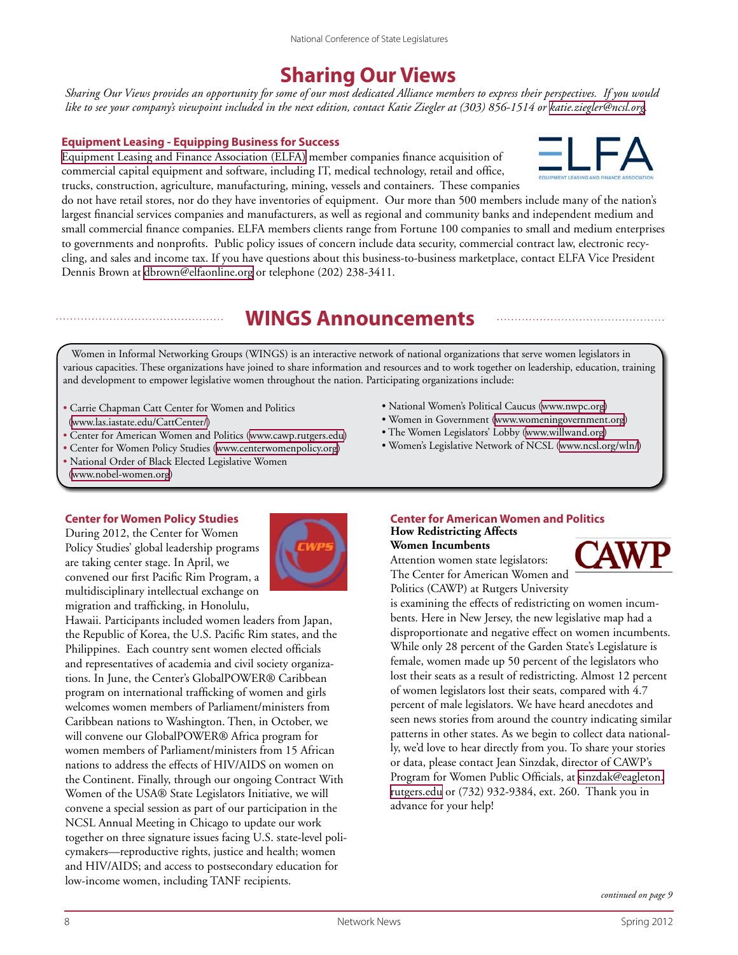# **Sharing Our Views**

*Sharing Our Views provides an opportunity for some of our most dedicated Alliance members to express their perspectives. If you would like to see your company's viewpoint included in the next edition, contact Katie Ziegler at (303) 856-1514 or [katie.ziegler@ncsl.org.](mailto:katie.ziegler@ncsl.org)* 

#### **Equipment Leasing - Equipping Business for Success**

[Equipment Leasing and Finance Association \(ELFA\)](http://www.elfaonline.org/) member companies finance acquisition of commercial capital equipment and software, including IT, medical technology, retail and office, trucks, construction, agriculture, manufacturing, mining, vessels and containers. These companies



do not have retail stores, nor do they have inventories of equipment. Our more than 500 members include many of the nation's largest financial services companies and manufacturers, as well as regional and community banks and independent medium and small commercial finance companies. ELFA members clients range from Fortune 100 companies to small and medium enterprises to governments and nonprofits. Public policy issues of concern include data security, commercial contract law, electronic recycling, and sales and income tax. If you have questions about this business-to-business marketplace, contact ELFA Vice President Dennis Brown at [dbrown@elfaonline.org](mailto:dbrown@elfaonline.org) or telephone (202) 238-3411.

# **WINGS Announcements**

Women in Informal Networking Groups (WINGS) is an interactive network of national organizations that serve women legislators in various capacities. These organizations have joined to share information and resources and to work together on leadership, education, training and development to empower legislative women throughout the nation. Participating organizations include:

- Carrie Chapman Catt Center for Women and Politics ([www.las.iastate.edu/CattCenter/\)](www.las.iastate.edu/CattCenter/)
- Center for American Women and Politics [\(www.cawp.rutgers.edu](http://www.cawp.rutgers.edu))
- Center for Women Policy Studies [\(www.centerwomenpolicy.org\)](http://www.centerwomenpolicy.org)
- National Order of Black Elected Legislative Women
- ([www.nobel-women.org\)](http://www.nobel-women.org)

#### **Center for Women Policy Studies**

During 2012, the Center for Women Policy Studies' global leadership programs are taking center stage. In April, we convened our first Pacific Rim Program, a multidisciplinary intellectual exchange on migration and trafficking, in Honolulu,



Hawaii. Participants included women leaders from Japan, the Republic of Korea, the U.S. Pacific Rim states, and the Philippines. Each country sent women elected officials and representatives of academia and civil society organizations. In June, the Center's GlobalPOWER® Caribbean program on international trafficking of women and girls welcomes women members of Parliament/ministers from Caribbean nations to Washington. Then, in October, we will convene our GlobalPOWER® Africa program for women members of Parliament/ministers from 15 African nations to address the effects of HIV/AIDS on women on the Continent. Finally, through our ongoing Contract With Women of the USA® State Legislators Initiative, we will convene a special session as part of our participation in the NCSL Annual Meeting in Chicago to update our work together on three signature issues facing U.S. state-level policymakers—reproductive rights, justice and health; women and HIV/AIDS; and access to postsecondary education for low-income women, including TANF recipients.

- National Women's Political Caucus ([www.nwpc.org](http://www.nwpc.org))
- Women in Government ([www.womeningovernment.org](http://www.womeningovernment.org))
- The Women Legislators' Lobby [\(www.willwand.org\)](http://www.willwand.org)
- Women's Legislative Network of NCSL [\(www.ncsl.org/wln/\)](http://www.ncsl.org/wln/)

#### **Center for American Women and Politics How Redistricting Affects**

**Women Incumbents** Attention women state legislators: The Center for American Women and Politics (CAWP) at Rutgers University



is examining the effects of redistricting on women incumbents. Here in New Jersey, the new legislative map had a disproportionate and negative effect on women incumbents. While only 28 percent of the Garden State's Legislature is female, women made up 50 percent of the legislators who lost their seats as a result of redistricting. Almost 12 percent of women legislators lost their seats, compared with 4.7 percent of male legislators. We have heard anecdotes and seen news stories from around the country indicating similar patterns in other states. As we begin to collect data nationally, we'd love to hear directly from you. To share your stories or data, please contact Jean Sinzdak, director of CAWP's Program for Women Public Officials, at [sinzdak@eagleton.](mailto:sinzdak@eagleton.rutgers.edu) [rutgers.edu](mailto:sinzdak@eagleton.rutgers.edu) or (732) 932-9384, ext. 260. Thank you in advance for your help!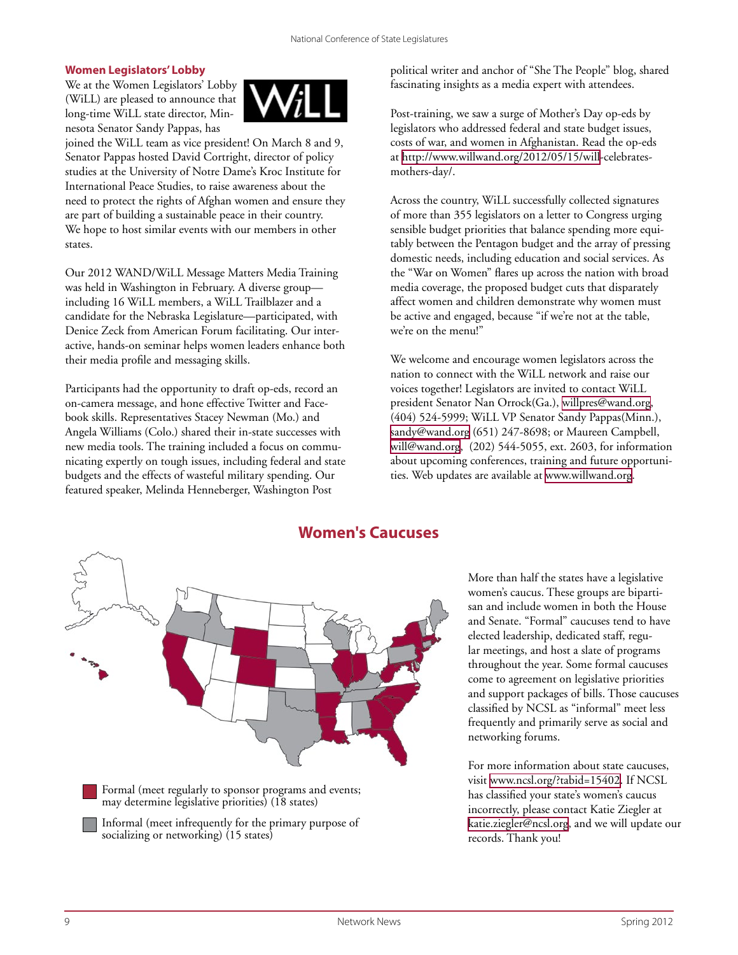#### **Women Legislators' Lobby**

We at the Women Legislators' Lobby (WiLL) are pleased to announce that long-time WiLL state director, Minnesota Senator Sandy Pappas, has



joined the WiLL team as vice president! On March 8 and 9, Senator Pappas hosted David Cortright, director of policy studies at the University of Notre Dame's Kroc Institute for International Peace Studies, to raise awareness about the need to protect the rights of Afghan women and ensure they are part of building a sustainable peace in their country. We hope to host similar events with our members in other states.

Our 2012 WAND/WiLL Message Matters Media Training was held in Washington in February. A diverse group including 16 WiLL members, a WiLL Trailblazer and a candidate for the Nebraska Legislature—participated, with Denice Zeck from American Forum facilitating. Our interactive, hands-on seminar helps women leaders enhance both their media profile and messaging skills.

Participants had the opportunity to draft op-eds, record an on-camera message, and hone effective Twitter and Facebook skills. Representatives Stacey Newman (Mo.) and Angela Williams (Colo.) shared their in-state successes with new media tools. The training included a focus on communicating expertly on tough issues, including federal and state budgets and the effects of wasteful military spending. Our featured speaker, Melinda Henneberger, Washington Post

political writer and anchor of "She The People" blog, shared fascinating insights as a media expert with attendees.

Post-training, we saw a surge of Mother's Day op-eds by legislators who addressed federal and state budget issues, costs of war, and women in Afghanistan. Read the op-eds at [http://www.willwand.org/2012/05/15/will-](http://www.willwand.org/2012/05/15/will)celebratesmothers-day/.

Across the country, WiLL successfully collected signatures of more than 355 legislators on a letter to Congress urging sensible budget priorities that balance spending more equitably between the Pentagon budget and the array of pressing domestic needs, including education and social services. As the "War on Women" flares up across the nation with broad media coverage, the proposed budget cuts that disparately affect women and children demonstrate why women must be active and engaged, because "if we're not at the table, we're on the menu!"

We welcome and encourage women legislators across the nation to connect with the WiLL network and raise our voices together! Legislators are invited to contact WiLL president Senator Nan Orrock(Ga.), [willpres@wand.org,](mailto:willpres@wand.org) (404) 524-5999; WiLL VP Senator Sandy Pappas(Minn.), [sandy@wand.org](mailto:sandy@wand.org) (651) 247-8698; or Maureen Campbell, [will@wand.org,](mailto:will@wand.org) (202) 544-5055, ext. 2603, for information about upcoming conferences, training and future opportunities. Web updates are available at [www.willwand.org](http://www.willwand.org).



Formal (meet regularly to sponsor programs and events; may determine legislative priorities) (18 states)

Informal (meet infrequently for the primary purpose of socializing or networking) (15 states)

More than half the states have a legislative women's caucus. These groups are bipartisan and include women in both the House and Senate. "Formal" caucuses tend to have elected leadership, dedicated staff, regular meetings, and host a slate of programs throughout the year. Some formal caucuses come to agreement on legislative priorities and support packages of bills. Those caucuses classified by NCSL as "informal" meet less frequently and primarily serve as social and networking forums.

For more information about state caucuses, visit [www.ncsl.org/?tabid=15402.](www.ncsl.org/?tabid=15402) If NCSL has classified your state's women's caucus incorrectly, please contact Katie Ziegler at [katie.ziegler@ncsl.org,]( katie.ziegler@ncsl.org) and we will update our records. Thank you!

**Women's Caucuses**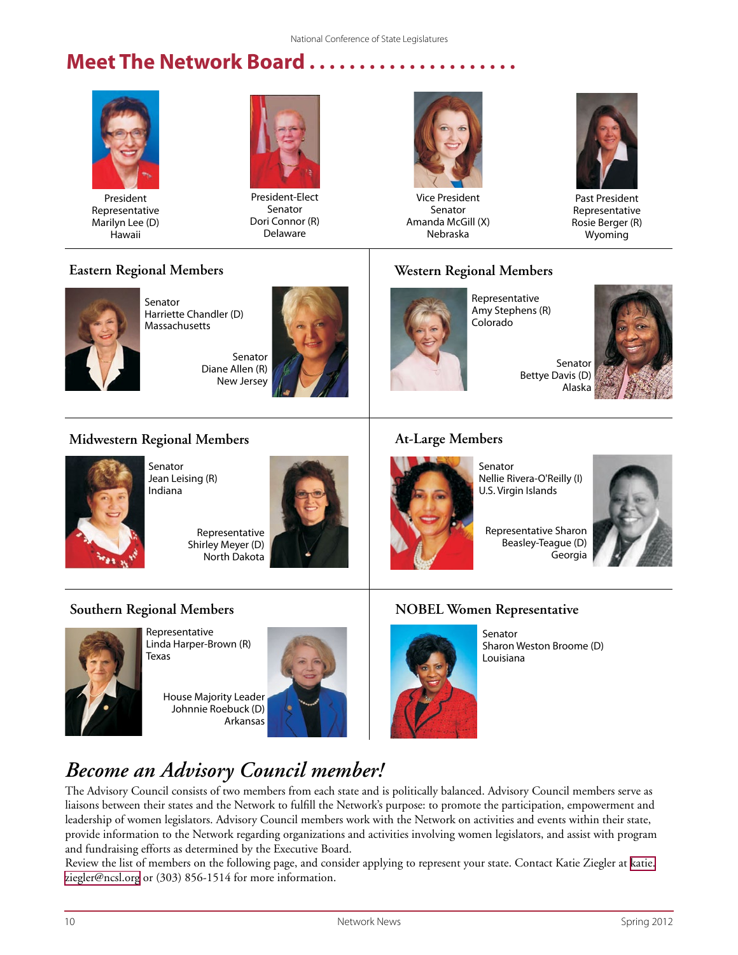# **Meet The Network Board.**



President Representative Marilyn Lee (D) Hawaii



President-Elect Senator Dori Connor (R) Delaware



Vice President Senator Amanda McGill (X) Nebraska



Past President Representative Rosie Berger (R) Wyoming

## **Eastern Regional Members**



Senator Harriette Chandler (D) Massachusetts

> Senator Diane Allen (R) New Jersey



# **Western Regional Members**



Representative Amy Stephens (R) Colorado



## **Midwestern Regional Members**



Senator Jean Leising (R) Indiana

Representative Shirley Meyer (D) North Dakota



### **At-Large Members**



Senator Nellie Rivera-O'Reilly (I) U.S. Virgin Islands

Representative Sharon Beasley-Teague (D) Georgia



## **Southern Regional Members**



Representative Linda Harper-Brown (R) Texas

House Majority Leader Johnnie Roebuck (D) Arkansas



## **NOBEL Women Representative**



Senator Sharon Weston Broome (D) Louisiana

# *Become an Advisory Council member!*

The Advisory Council consists of two members from each state and is politically balanced. Advisory Council members serve as liaisons between their states and the Network to fulfill the Network's purpose: to promote the participation, empowerment and leadership of women legislators. Advisory Council members work with the Network on activities and events within their state, provide information to the Network regarding organizations and activities involving women legislators, and assist with program and fundraising efforts as determined by the Executive Board.

Review the list of members on the following page, and consider applying to represent your state. Contact Katie Ziegler at [katie.](mailto:katie.ziegler@ncsl.org) [ziegler@ncsl.org](mailto:katie.ziegler@ncsl.org) or (303) 856-1514 for more information.